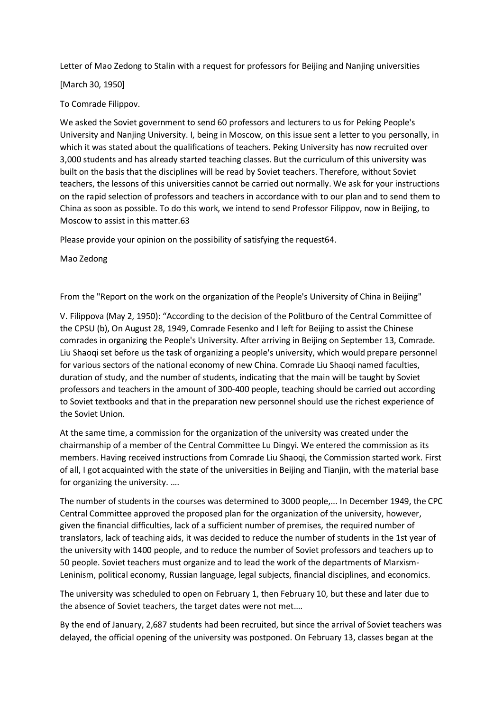Letter of Mao Zedong to Stalin with a request for professors for Beijing and Nanjing universities

[March 30, 1950]

To Comrade Filippov.

We asked the Soviet government to send 60 professors and lecturers to us for Peking People's University and Nanjing University. I, being in Moscow, on this issue sent a letter to you personally, in which it was stated about the qualifications of teachers. Peking University has now recruited over 3,000 students and has already started teaching classes. But the curriculum of this university was built on the basis that the disciplines will be read by Soviet teachers. Therefore, without Soviet teachers, the lessons of this universities cannot be carried out normally. We ask for your instructions on the rapid selection of professors and teachers in accordance with to our plan and to send them to China as soon as possible. To do this work, we intend to send Professor Filippov, now in Beijing, to Moscow to assist in this matter.63

Please provide your opinion on the possibility of satisfying the request64.

Mao Zedong

From the "Report on the work on the organization of the People's University of China in Beijing"

V. Filippova (May 2, 1950): "According to the decision of the Politburo of the Central Committee of the CPSU (b), On August 28, 1949, Comrade Fesenko and I left for Beijing to assist the Chinese comrades in organizing the People's University. After arriving in Beijing on September 13, Comrade. Liu Shaoqi set before us the task of organizing a people's university, which would prepare personnel for various sectors of the national economy of new China. Comrade Liu Shaoqi named faculties, duration of study, and the number of students, indicating that the main will be taught by Soviet professors and teachers in the amount of 300-400 people, teaching should be carried out according to Soviet textbooks and that in the preparation new personnel should use the richest experience of the Soviet Union.

At the same time, a commission for the organization of the university was created under the chairmanship of a member of the Central Committee Lu Dingyi. We entered the commission as its members. Having received instructions from Comrade Liu Shaoqi, the Commission started work. First of all, I got acquainted with the state of the universities in Beijing and Tianjin, with the material base for organizing the university. ….

The number of students in the courses was determined to 3000 people,... In December 1949, the CPC Central Committee approved the proposed plan for the organization of the university, however, given the financial difficulties, lack of a sufficient number of premises, the required number of translators, lack of teaching aids, it was decided to reduce the number of students in the 1st year of the university with 1400 people, and to reduce the number of Soviet professors and teachers up to 50 people. Soviet teachers must organize and to lead the work of the departments of Marxism-Leninism, political economy, Russian language, legal subjects, financial disciplines, and economics.

The university was scheduled to open on February 1, then February 10, but these and later due to the absence of Soviet teachers, the target dates were not met….

By the end of January, 2,687 students had been recruited, but since the arrival of Soviet teachers was delayed, the official opening of the university was postponed. On February 13, classes began at the